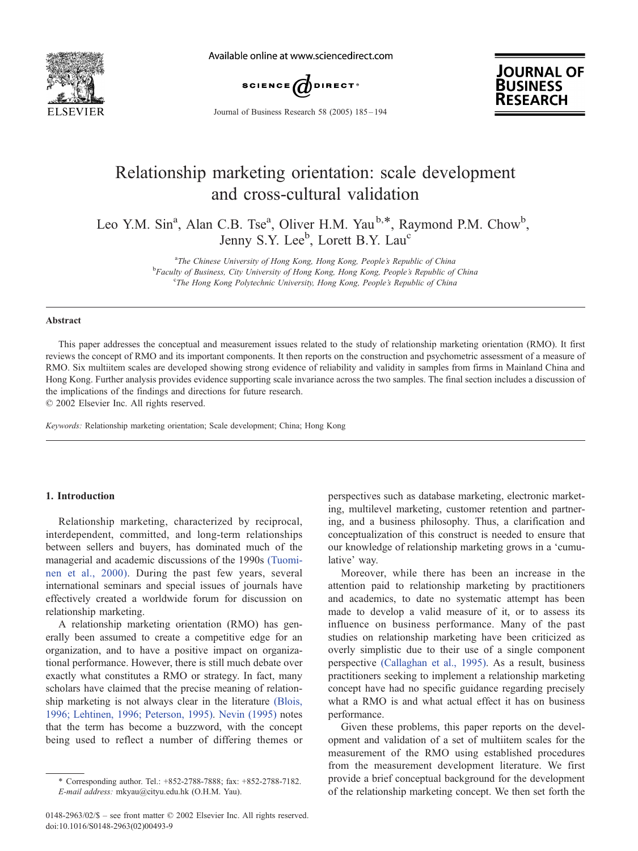

Available online at www.sciencedirect.com





Journal of Business Research 58 (2005) 185 – 194

## Relationship marketing orientation: scale development and cross-cultural validation

Leo Y.M. Sin<sup>a</sup>, Alan C.B. Tse<sup>a</sup>, Oliver H.M. Yau<sup>b,\*</sup>, Raymond P.M. Chow<sup>b</sup>, Jenny S.Y. Lee<sup>b</sup>, Lorett B.Y. Lau<sup>c</sup>

> <sup>a</sup> The Chinese University of Hong Kong, Hong Kong, People's Republic of China<br><sup>b</sup> Equality of Business, City University of Hong Kong, Hong Kong, People's People's People <sup>b</sup>Faculty of Business, City University of Hong Kong, Hong Kong, People's Republic of China <sup>c</sup>The Hong Kong Polytechnic University, Hong Kong, People's Republic of China

#### Abstract

This paper addresses the conceptual and measurement issues related to the study of relationship marketing orientation (RMO). It first reviews the concept of RMO and its important components. It then reports on the construction and psychometric assessment of a measure of RMO. Six multiitem scales are developed showing strong evidence of reliability and validity in samples from firms in Mainland China and Hong Kong. Further analysis provides evidence supporting scale invariance across the two samples. The final section includes a discussion of the implications of the findings and directions for future research.

 $\odot$  2002 Elsevier Inc. All rights reserved.

Keywords: Relationship marketing orientation; Scale development; China; Hong Kong

## 1. Introduction

Relationship marketing, characterized by reciprocal, interdependent, committed, and long-term relationships between sellers and buyers, has dominated much of the managerial and academic discussions of the 1990s [\(Tuomi](#page--1-0)nen et al., 2000). During the past few years, several international seminars and special issues of journals have effectively created a worldwide forum for discussion on relationship marketing.

A relationship marketing orientation (RMO) has generally been assumed to create a competitive edge for an organization, and to have a positive impact on organizational performance. However, there is still much debate over exactly what constitutes a RMO or strategy. In fact, many scholars have claimed that the precise meaning of relationship marketing is not always clear in the literature [\(Blois,](#page--1-0) 1996; Lehtinen, 1996; Peterson, 1995). [Nevin \(1995\)](#page--1-0) notes that the term has become a buzzword, with the concept being used to reflect a number of differing themes or perspectives such as database marketing, electronic marketing, multilevel marketing, customer retention and partnering, and a business philosophy. Thus, a clarification and conceptualization of this construct is needed to ensure that our knowledge of relationship marketing grows in a 'cumulative' way.

Moreover, while there has been an increase in the attention paid to relationship marketing by practitioners and academics, to date no systematic attempt has been made to develop a valid measure of it, or to assess its influence on business performance. Many of the past studies on relationship marketing have been criticized as overly simplistic due to their use of a single component perspective [\(Callaghan et al., 1995\).](#page--1-0) As a result, business practitioners seeking to implement a relationship marketing concept have had no specific guidance regarding precisely what a RMO is and what actual effect it has on business performance.

Given these problems, this paper reports on the development and validation of a set of multiitem scales for the measurement of the RMO using established procedures from the measurement development literature. We first provide a brief conceptual background for the development of the relationship marketing concept. We then set forth the

<sup>\*</sup> Corresponding author. Tel.: +852-2788-7888; fax: +852-2788-7182. E-mail address: mkyau@cityu.edu.hk (O.H.M. Yau).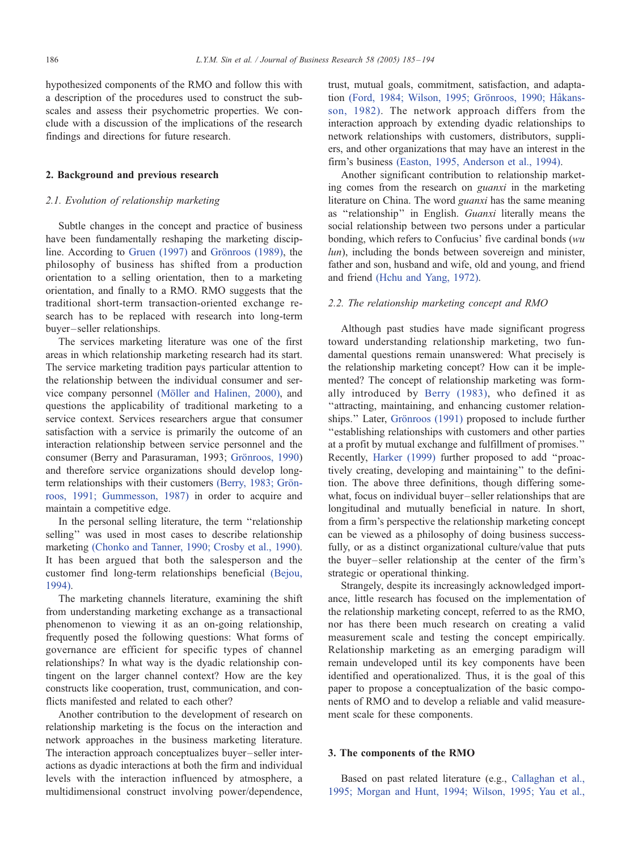hypothesized components of the RMO and follow this with a description of the procedures used to construct the subscales and assess their psychometric properties. We conclude with a discussion of the implications of the research findings and directions for future research.

#### 2. Background and previous research

## 2.1. Evolution of relationship marketing

Subtle changes in the concept and practice of business have been fundamentally reshaping the marketing discipline. According to Gruen  $(1997)$  and Grönroos  $(1989)$ , the philosophy of business has shifted from a production orientation to a selling orientation, then to a marketing orientation, and finally to a RMO. RMO suggests that the traditional short-term transaction-oriented exchange research has to be replaced with research into long-term buyer – seller relationships.

The services marketing literature was one of the first areas in which relationship marketing research had its start. The service marketing tradition pays particular attention to the relationship between the individual consumer and service company personnel (Möller and Halinen, 2000), and questions the applicability of traditional marketing to a service context. Services researchers argue that consumer satisfaction with a service is primarily the outcome of an interaction relationship between service personnel and the consumer (Berry and Parasuraman, 1993; Grönroos, 1990) and therefore service organizations should develop longterm relationships with their customers (Berry, 1983; Grönroos, 1991; Gummesson, 1987) in order to acquire and maintain a competitive edge.

In the personal selling literature, the term ''relationship selling'' was used in most cases to describe relationship marketing [\(Chonko and Tanner, 1990; Crosby et al., 1990\).](#page--1-0) It has been argued that both the salesperson and the customer find long-term relationships beneficial [\(Bejou,](#page--1-0) 1994).

The marketing channels literature, examining the shift from understanding marketing exchange as a transactional phenomenon to viewing it as an on-going relationship, frequently posed the following questions: What forms of governance are efficient for specific types of channel relationships? In what way is the dyadic relationship contingent on the larger channel context? How are the key constructs like cooperation, trust, communication, and conflicts manifested and related to each other?

Another contribution to the development of research on relationship marketing is the focus on the interaction and network approaches in the business marketing literature. The interaction approach conceptualizes buyer – seller interactions as dyadic interactions at both the firm and individual levels with the interaction influenced by atmosphere, a multidimensional construct involving power/dependence, trust, mutual goals, commitment, satisfaction, and adaptation (Ford, 1984; Wilson, 1995; Grönroos, 1990; Håkansson, 1982). The network approach differs from the interaction approach by extending dyadic relationships to network relationships with customers, distributors, suppliers, and other organizations that may have an interest in the firm's business [\(Easton, 1995, Anderson et al., 1994\).](#page--1-0)

Another significant contribution to relationship marketing comes from the research on guanxi in the marketing literature on China. The word guanxi has the same meaning as ''relationship'' in English. Guanxi literally means the social relationship between two persons under a particular bonding, which refers to Confucius' five cardinal bonds (wu lun), including the bonds between sovereign and minister, father and son, husband and wife, old and young, and friend and friend [\(Hchu and Yang, 1972\).](#page--1-0)

## 2.2. The relationship marketing concept and RMO

Although past studies have made significant progress toward understanding relationship marketing, two fundamental questions remain unanswered: What precisely is the relationship marketing concept? How can it be implemented? The concept of relationship marketing was formally introduced by [Berry \(1983\),](#page--1-0) who defined it as ''attracting, maintaining, and enhancing customer relationships." Later, Grönroos (1991) proposed to include further ''establishing relationships with customers and other parties at a profit by mutual exchange and fulfillment of promises.'' Recently, [Harker \(1999\)](#page--1-0) further proposed to add ''proactively creating, developing and maintaining'' to the definition. The above three definitions, though differing somewhat, focus on individual buyer – seller relationships that are longitudinal and mutually beneficial in nature. In short, from a firm's perspective the relationship marketing concept can be viewed as a philosophy of doing business successfully, or as a distinct organizational culture/value that puts the buyer – seller relationship at the center of the firm's strategic or operational thinking.

Strangely, despite its increasingly acknowledged importance, little research has focused on the implementation of the relationship marketing concept, referred to as the RMO, nor has there been much research on creating a valid measurement scale and testing the concept empirically. Relationship marketing as an emerging paradigm will remain undeveloped until its key components have been identified and operationalized. Thus, it is the goal of this paper to propose a conceptualization of the basic components of RMO and to develop a reliable and valid measurement scale for these components.

#### 3. The components of the RMO

Based on past related literature (e.g., [Callaghan et al.,](#page--1-0) 1995; Morgan and Hunt, 1994; Wilson, 1995; Yau et al.,